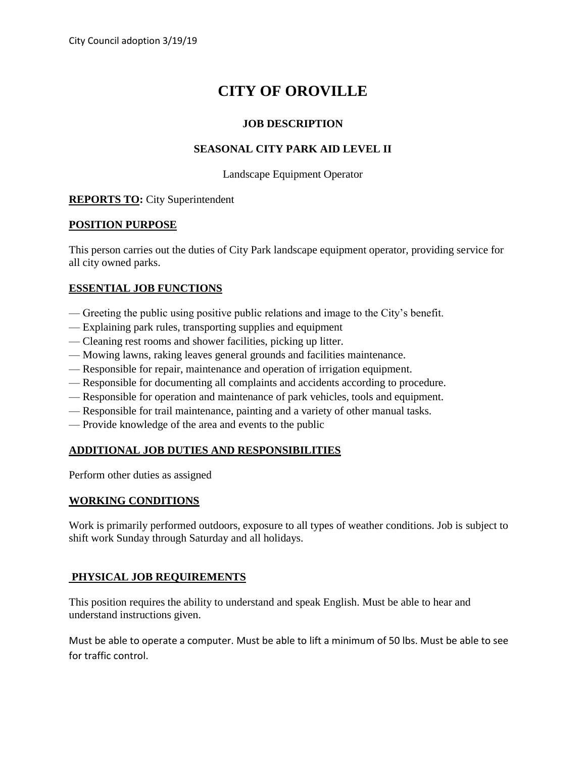# **CITY OF OROVILLE**

## **JOB DESCRIPTION**

## **SEASONAL CITY PARK AID LEVEL II**

#### Landscape Equipment Operator

# **REPORTS TO:** City Superintendent

## **POSITION PURPOSE**

This person carries out the duties of City Park landscape equipment operator, providing service for all city owned parks.

# **ESSENTIAL JOB FUNCTIONS**

- Greeting the public using positive public relations and image to the City's benefit.
- Explaining park rules, transporting supplies and equipment
- Cleaning rest rooms and shower facilities, picking up litter.
- Mowing lawns, raking leaves general grounds and facilities maintenance.
- Responsible for repair, maintenance and operation of irrigation equipment.
- Responsible for documenting all complaints and accidents according to procedure.
- Responsible for operation and maintenance of park vehicles, tools and equipment.
- Responsible for trail maintenance, painting and a variety of other manual tasks.
- Provide knowledge of the area and events to the public

## **ADDITIONAL JOB DUTIES AND RESPONSIBILITIES**

Perform other duties as assigned

## **WORKING CONDITIONS**

Work is primarily performed outdoors, exposure to all types of weather conditions. Job is subject to shift work Sunday through Saturday and all holidays.

# **PHYSICAL JOB REQUIREMENTS**

This position requires the ability to understand and speak English. Must be able to hear and understand instructions given.

Must be able to operate a computer. Must be able to lift a minimum of 50 lbs. Must be able to see for traffic control.